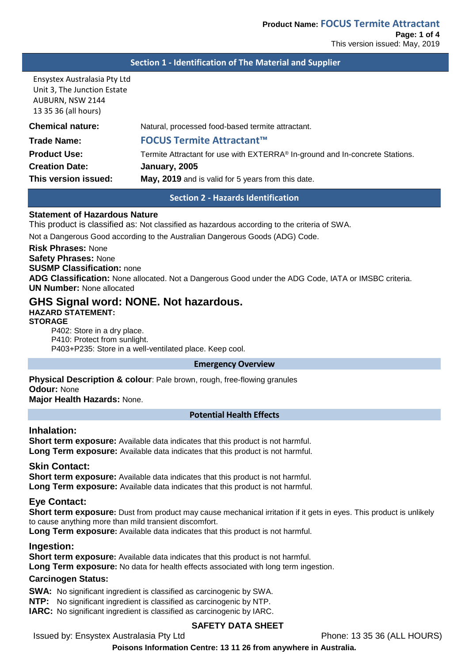### **Section 1 - Identification of The Material and Supplier**

Ensystex Australasia Pty Ltd Unit 3, The Junction Estate AUBURN, NSW 2144 13 35 36 (all hours)

| <b>Chemical nature:</b> | Natural, processed food-based termite attractant.                            |
|-------------------------|------------------------------------------------------------------------------|
| Trade Name:             | <b>FOCUS Termite Attractant™</b>                                             |
| <b>Product Use:</b>     | Termite Attractant for use with EXTERRA® In-ground and In-concrete Stations. |
| <b>Creation Date:</b>   | January, 2005                                                                |
| This version issued:    | May, 2019 and is valid for 5 years from this date.                           |

**Section 2 - Hazards Identification**

#### **Statement of Hazardous Nature**

This product is classified as: Not classified as hazardous according to the criteria of SWA.

Not a Dangerous Good according to the Australian Dangerous Goods (ADG) Code.

#### **Risk Phrases:** None

**Safety Phrases:** None **SUSMP Classification:** none **ADG Classification:** None allocated. Not a Dangerous Good under the ADG Code, IATA or IMSBC criteria. **UN Number:** None allocated

# **GHS Signal word: NONE. Not hazardous.**

**HAZARD STATEMENT: STORAGE**

P402: Store in a dry place. P410: Protect from sunlight. P403+P235: Store in a well-ventilated place. Keep cool.

#### **Emergency Overview**

**Physical Description & colour**: Pale brown, rough, free-flowing granules **Odour:** None **Major Health Hazards:** None.

#### **Potential Health Effects**

### **Inhalation:**

**Short term exposure:** Available data indicates that this product is not harmful. **Long Term exposure:** Available data indicates that this product is not harmful.

### **Skin Contact:**

**Short term exposure:** Available data indicates that this product is not harmful. **Long Term exposure:** Available data indicates that this product is not harmful.

### **Eye Contact:**

**Short term exposure:** Dust from product may cause mechanical irritation if it gets in eyes. This product is unlikely to cause anything more than mild transient discomfort.

**Long Term exposure:** Available data indicates that this product is not harmful.

### **Ingestion:**

**Short term exposure:** Available data indicates that this product is not harmful.

**Long Term exposure:** No data for health effects associated with long term ingestion.

#### **Carcinogen Status:**

**SWA:** No significant ingredient is classified as carcinogenic by SWA.

**NTP:** No significant ingredient is classified as carcinogenic by NTP.

**IARC:** No significant ingredient is classified as carcinogenic by IARC.

### **SAFETY DATA SHEET**

Issued by: Ensystex Australasia Pty Ltd Phone: 13 35 36 (ALL HOURS)

**Poisons Information Centre: 13 11 26 from anywhere in Australia.**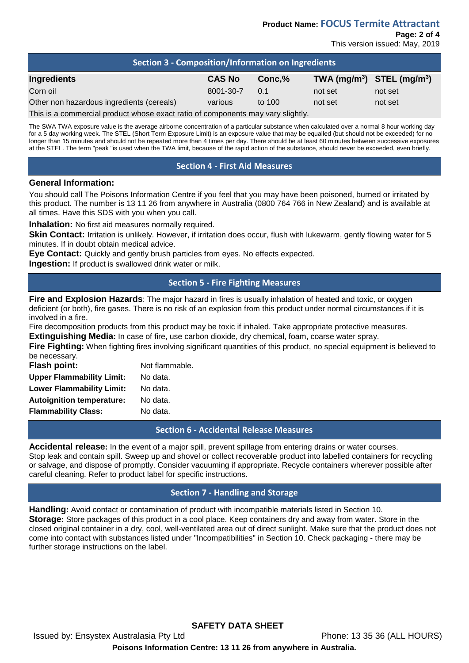| Section 3 - Composition/Information on Ingredients                              |               |        |                                |         |  |
|---------------------------------------------------------------------------------|---------------|--------|--------------------------------|---------|--|
| Ingredients                                                                     | <b>CAS No</b> | Conc.% | TWA $(mg/m^3)$ STEL $(mg/m^3)$ |         |  |
| Corn oil                                                                        | 8001-30-7     | 0.1    | not set                        | not set |  |
| Other non hazardous ingredients (cereals)                                       | various       | to 100 | not set                        | not set |  |
| This is a separately product whose sysal ratio of separaget province productive |               |        |                                |         |  |

This is a commercial product whose exact ratio of components may vary slightly.

The SWA TWA exposure value is the average airborne concentration of a particular substance when calculated over a normal 8 hour working day for a 5 day working week. The STEL (Short Term Exposure Limit) is an exposure value that may be equalled (but should not be exceeded) for no longer than 15 minutes and should not be repeated more than 4 times per day. There should be at least 60 minutes between successive exposures at the STEL. The term "peak "is used when the TWA limit, because of the rapid action of the substance, should never be exceeded, even briefly.

## **Section 4 - First Aid Measures**

### **General Information:**

You should call The Poisons Information Centre if you feel that you may have been poisoned, burned or irritated by this product. The number is 13 11 26 from anywhere in Australia (0800 764 766 in New Zealand) and is available at all times. Have this SDS with you when you call.

**Inhalation:** No first aid measures normally required.

**Skin Contact:** Irritation is unlikely. However, if irritation does occur, flush with lukewarm, gently flowing water for 5 minutes. If in doubt obtain medical advice.

**Eye Contact:** Quickly and gently brush particles from eyes. No effects expected.

**Ingestion:** If product is swallowed drink water or milk.

## **Section 5 - Fire Fighting Measures**

**Fire and Explosion Hazards**: The major hazard in fires is usually inhalation of heated and toxic, or oxygen deficient (or both), fire gases. There is no risk of an explosion from this product under normal circumstances if it is involved in a fire.

Fire decomposition products from this product may be toxic if inhaled. Take appropriate protective measures.

**Extinguishing Media:** In case of fire, use carbon dioxide, dry chemical, foam, coarse water spray.

**Fire Fighting:** When fighting fires involving significant quantities of this product, no special equipment is believed to be necessary.

| <b>Flash point:</b>              | Not flammable. |  |
|----------------------------------|----------------|--|
| <b>Upper Flammability Limit:</b> | No data.       |  |
| <b>Lower Flammability Limit:</b> | No data.       |  |
| <b>Autoignition temperature:</b> | No data.       |  |
| <b>Flammability Class:</b>       | No data.       |  |

**Section 6 - Accidental Release Measures**

**Accidental release:** In the event of a major spill, prevent spillage from entering drains or water courses. Stop leak and contain spill. Sweep up and shovel or collect recoverable product into labelled containers for recycling or salvage, and dispose of promptly. Consider vacuuming if appropriate. Recycle containers wherever possible after careful cleaning. Refer to product label for specific instructions.

# **Section 7 - Handling and Storage**

**Handling:** Avoid contact or contamination of product with incompatible materials listed in Section 10. **Storage:** Store packages of this product in a cool place. Keep containers dry and away from water. Store in the closed original container in a dry, cool, well-ventilated area out of direct sunlight. Make sure that the product does not come into contact with substances listed under "Incompatibilities" in Section 10. Check packaging - there may be further storage instructions on the label.

**SAFETY DATA SHEET**

Issued by: Ensystex Australasia Pty Ltd Phone: 13 35 36 (ALL HOURS)

**Poisons Information Centre: 13 11 26 from anywhere in Australia.**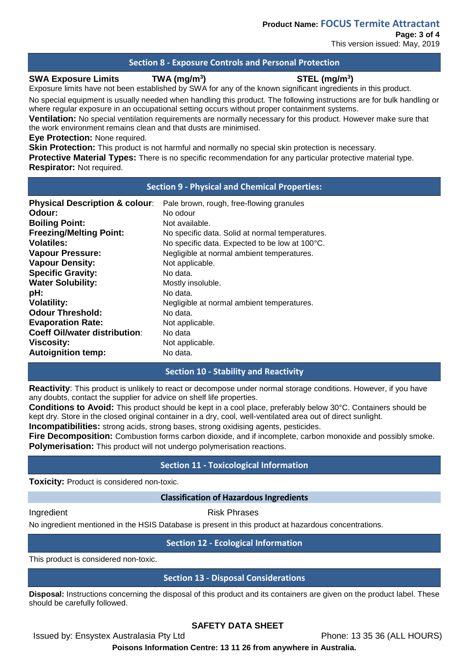This version issued: May, 2019

## **Section 8 - Exposure Controls and Personal Protection**

#### **SWA Exposure Limits TWA (mg/m3**

# **) STEL (mg/m3 )**

Exposure limits have not been established by SWA for any of the known significant ingredients in this product.

No special equipment is usually needed when handling this product. The following instructions are for bulk handling or where regular exposure in an occupational setting occurs without proper containment systems.

**Ventilation:** No special ventilation requirements are normally necessary for this product. However make sure that the work environment remains clean and that dusts are minimised.

**Eye Protection:** None required.

**Skin Protection:** This product is not harmful and normally no special skin protection is necessary.

**Protective Material Types:** There is no specific recommendation for any particular protective material type. **Respirator:** Not required.

### **Section 9 - Physical and Chemical Properties:**

| <b>Physical Description &amp; colour:</b> | Pale brown, rough, free-flowing granules        |
|-------------------------------------------|-------------------------------------------------|
| Odour:                                    | No odour                                        |
| <b>Boiling Point:</b>                     | Not available.                                  |
| <b>Freezing/Melting Point:</b>            | No specific data. Solid at normal temperatures. |
| <b>Volatiles:</b>                         | No specific data. Expected to be low at 100°C.  |
| <b>Vapour Pressure:</b>                   | Negligible at normal ambient temperatures.      |
| <b>Vapour Density:</b>                    | Not applicable.                                 |
| <b>Specific Gravity:</b>                  | No data.                                        |
| <b>Water Solubility:</b>                  | Mostly insoluble.                               |
| pH:                                       | No data.                                        |
| <b>Volatility:</b>                        | Negligible at normal ambient temperatures.      |
| <b>Odour Threshold:</b>                   | No data.                                        |
| <b>Evaporation Rate:</b>                  | Not applicable.                                 |
| <b>Coeff Oil/water distribution:</b>      | No data                                         |
| <b>Viscosity:</b>                         | Not applicable.                                 |
| <b>Autoignition temp:</b>                 | No data.                                        |

## **Section 10 - Stability and Reactivity**

**Reactivity**: This product is unlikely to react or decompose under normal storage conditions. However, if you have any doubts, contact the supplier for advice on shelf life properties.

**Conditions to Avoid:** This product should be kept in a cool place, preferably below 30°C. Containers should be kept dry. Store in the closed original container in a dry, cool, well-ventilated area out of direct sunlight.

**Incompatibilities:** strong acids, strong bases, strong oxidising agents, pesticides.

**Fire Decomposition:** Combustion forms carbon dioxide, and if incomplete, carbon monoxide and possibly smoke. **Polymerisation:** This product will not undergo polymerisation reactions.

## **Section 11 - Toxicological Information**

**Toxicity:** Product is considered non-toxic.

### **Classification of Hazardous Ingredients**

Ingredient **Risk Phrases** 

No ingredient mentioned in the HSIS Database is present in this product at hazardous concentrations.

# **Section 12 - Ecological Information**

This product is considered non-toxic.

## **Section 13 - Disposal Considerations**

**Disposal:** Instructions concerning the disposal of this product and its containers are given on the product label. These should be carefully followed.

# **SAFETY DATA SHEET**

Issued by: Ensystex Australasia Pty Ltd Phone: 13 35 36 (ALL HOURS)

**Poisons Information Centre: 13 11 26 from anywhere in Australia.**